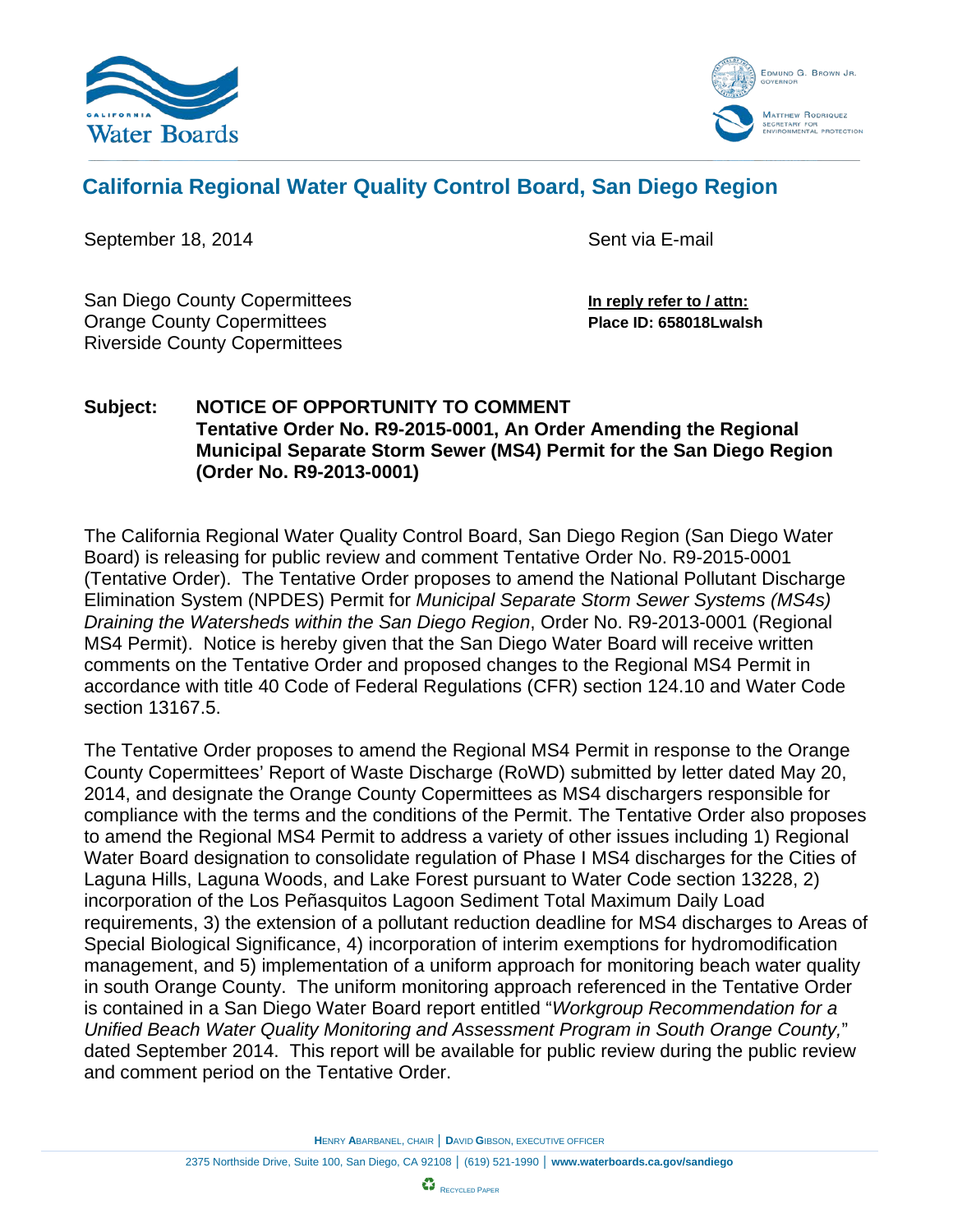



# **California Regional Water Quality Control Board, San Diego Region**

September 18, 2014 **September 18, 2014** Sent via E-mail

San Diego County Copermittees **In reply refer to / attn:** Orange County Copermittees **Place ID: 658018Lwalsh** Riverside County Copermittees

# **Subject: NOTICE OF OPPORTUNITY TO COMMENT Tentative Order No. R9-2015-0001, An Order Amending the Regional Municipal Separate Storm Sewer (MS4) Permit for the San Diego Region (Order No. R9-2013-0001)**

The California Regional Water Quality Control Board, San Diego Region (San Diego Water Board) is releasing for public review and comment Tentative Order No. R9-2015-0001 (Tentative Order). The Tentative Order proposes to amend the National Pollutant Discharge Elimination System (NPDES) Permit for *Municipal Separate Storm Sewer Systems (MS4s) Draining the Watersheds within the San Diego Region*, Order No. R9-2013-0001 (Regional MS4 Permit). Notice is hereby given that the San Diego Water Board will receive written comments on the Tentative Order and proposed changes to the Regional MS4 Permit in accordance with title 40 Code of Federal Regulations (CFR) section 124.10 and Water Code section 13167.5.

The Tentative Order proposes to amend the Regional MS4 Permit in response to the Orange County Copermittees' Report of Waste Discharge (RoWD) submitted by letter dated May 20, 2014, and designate the Orange County Copermittees as MS4 dischargers responsible for compliance with the terms and the conditions of the Permit. The Tentative Order also proposes to amend the Regional MS4 Permit to address a variety of other issues including 1) Regional Water Board designation to consolidate regulation of Phase I MS4 discharges for the Cities of Laguna Hills, Laguna Woods, and Lake Forest pursuant to Water Code section 13228, 2) incorporation of the Los Peñasquitos Lagoon Sediment Total Maximum Daily Load requirements, 3) the extension of a pollutant reduction deadline for MS4 discharges to Areas of Special Biological Significance, 4) incorporation of interim exemptions for hydromodification management, and 5) implementation of a uniform approach for monitoring beach water quality in south Orange County. The uniform monitoring approach referenced in the Tentative Order is contained in a San Diego Water Board report entitled "*Workgroup Recommendation for a Unified Beach Water Quality Monitoring and Assessment Program in South Orange County,*" dated September 2014. This report will be available for public review during the public review and comment period on the Tentative Order.

**H**ENRY **A**BARBANEL, CHAIR │ **D**AVID **G**IBSON, EXECUTIVE OFFICER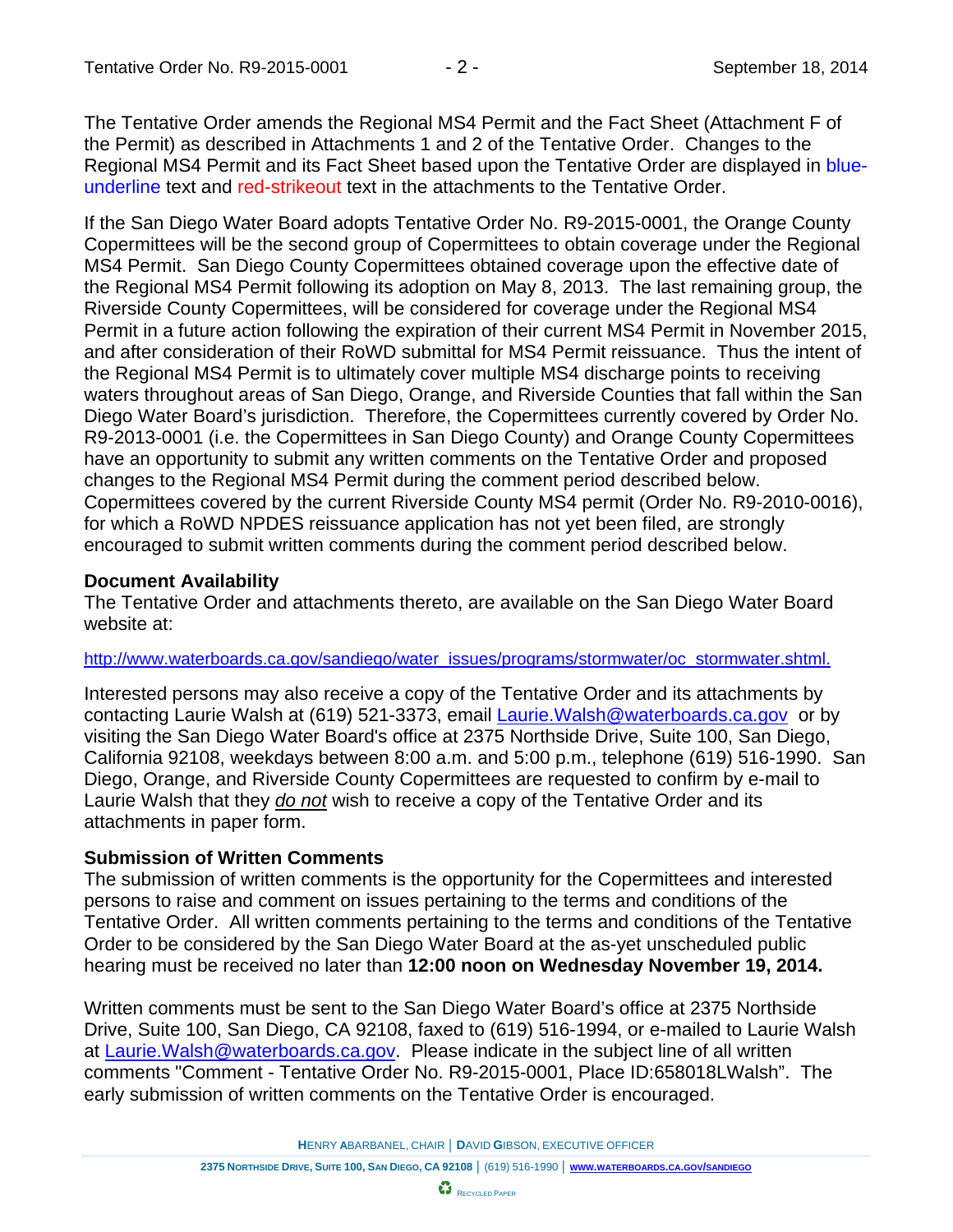The Tentative Order amends the Regional MS4 Permit and the Fact Sheet (Attachment F of the Permit) as described in Attachments 1 and 2 of the Tentative Order. Changes to the Regional MS4 Permit and its Fact Sheet based upon the Tentative Order are displayed in blueunderline text and red-strikeout text in the attachments to the Tentative Order.

If the San Diego Water Board adopts Tentative Order No. R9-2015-0001, the Orange County Copermittees will be the second group of Copermittees to obtain coverage under the Regional MS4 Permit. San Diego County Copermittees obtained coverage upon the effective date of the Regional MS4 Permit following its adoption on May 8, 2013. The last remaining group, the Riverside County Copermittees, will be considered for coverage under the Regional MS4 Permit in a future action following the expiration of their current MS4 Permit in November 2015, and after consideration of their RoWD submittal for MS4 Permit reissuance. Thus the intent of the Regional MS4 Permit is to ultimately cover multiple MS4 discharge points to receiving waters throughout areas of San Diego, Orange, and Riverside Counties that fall within the San Diego Water Board's jurisdiction. Therefore, the Copermittees currently covered by Order No. R9-2013-0001 (i.e. the Copermittees in San Diego County) and Orange County Copermittees have an opportunity to submit any written comments on the Tentative Order and proposed changes to the Regional MS4 Permit during the comment period described below. Copermittees covered by the current Riverside County MS4 permit (Order No. R9-2010-0016), for which a RoWD NPDES reissuance application has not yet been filed, are strongly encouraged to submit written comments during the comment period described below.

### **Document Availability**

The Tentative Order and attachments thereto, are available on the San Diego Water Board website at:

[http://www.waterboards.ca.gov/sandiego/water\\_issues/programs/stormwater/oc\\_stormwater.shtml.](http://www.waterboards.ca.gov/sandiego/water_issues/programs/stormwater/oc_stormwater.shtml)

Interested persons may also receive a copy of the Tentative Order and its attachments by contacting Laurie Walsh at (619) 521-3373, email [Laurie.Walsh@waterboards.ca.gov](mailto:Laurie.Walsh@waterboards.ca.gov) or by visiting the San Diego Water Board's office at 2375 Northside Drive, Suite 100, San Diego, California 92108, weekdays between 8:00 a.m. and 5:00 p.m., telephone (619) 516-1990. San Diego, Orange, and Riverside County Copermittees are requested to confirm by e-mail to Laurie Walsh that they *do not* wish to receive a copy of the Tentative Order and its attachments in paper form.

# **Submission of Written Comments**

The submission of written comments is the opportunity for the Copermittees and interested persons to raise and comment on issues pertaining to the terms and conditions of the Tentative Order. All written comments pertaining to the terms and conditions of the Tentative Order to be considered by the San Diego Water Board at the as-yet unscheduled public hearing must be received no later than **12:00 noon on Wednesday November 19, 2014.**

Written comments must be sent to the San Diego Water Board's office at 2375 Northside Drive, Suite 100, San Diego, CA 92108, faxed to (619) 516-1994, or e-mailed to Laurie Walsh at **Laurie. Walsh @waterboards.ca.gov.** Please indicate in the subject line of all written comments "Comment - Tentative Order No. R9-2015-0001, Place ID:658018LWalsh". The early submission of written comments on the Tentative Order is encouraged.

**H**ENRY **A**BARBANEL, CHAIR │ **D**AVID **G**IBSON, EXECUTIVE OFFICER

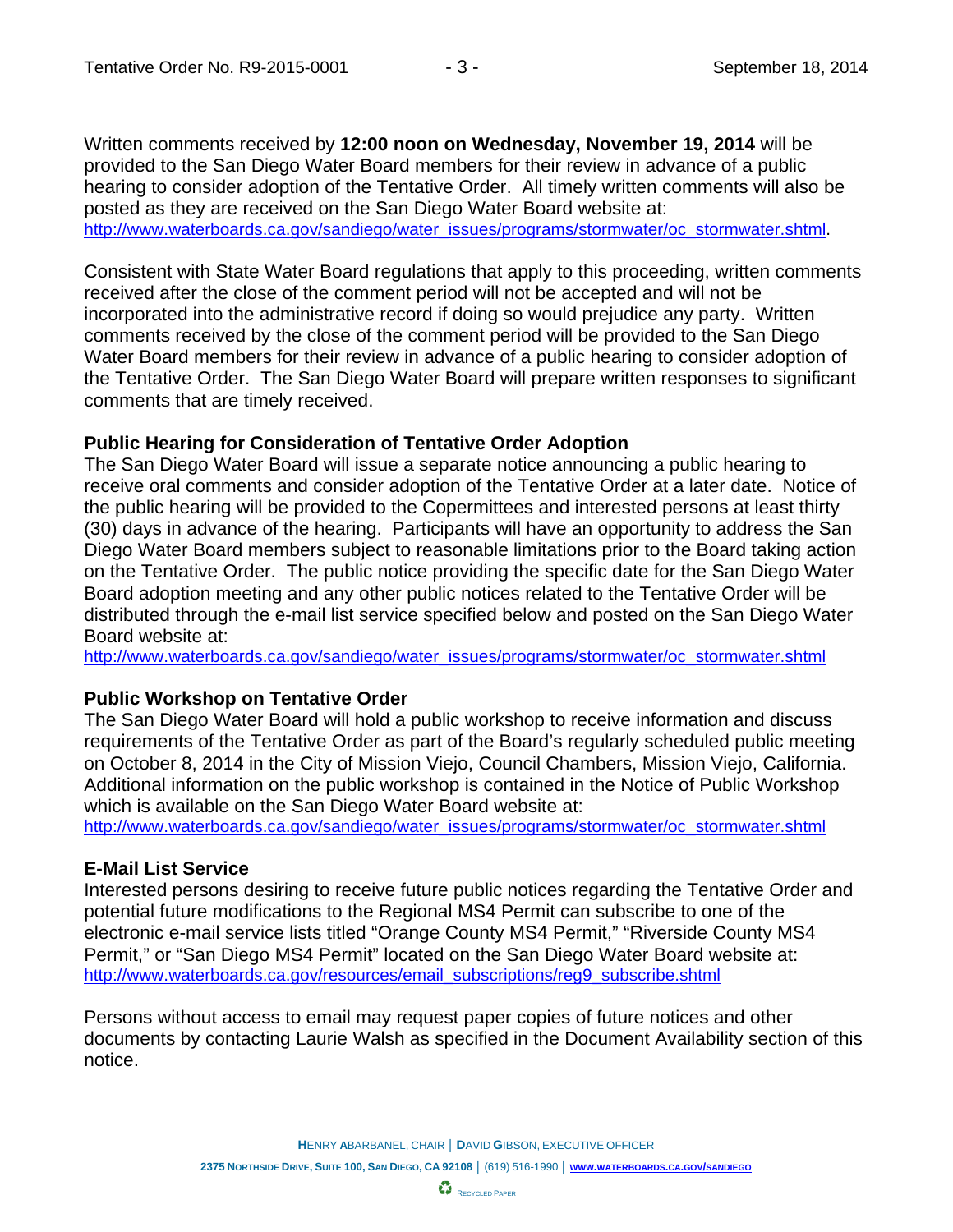Written comments received by **12:00 noon on Wednesday, November 19, 2014** will be provided to the San Diego Water Board members for their review in advance of a public hearing to consider adoption of the Tentative Order. All timely written comments will also be posted as they are received on the San Diego Water Board website at: [http://www.waterboards.ca.gov/sandiego/water\\_issues/programs/stormwater/oc\\_stormwater.shtml.](http://www.waterboards.ca.gov/sandiego/water_issues/programs/stormwater/oc_stormwater.shtml)

Consistent with State Water Board regulations that apply to this proceeding, written comments received after the close of the comment period will not be accepted and will not be incorporated into the administrative record if doing so would prejudice any party. Written comments received by the close of the comment period will be provided to the San Diego Water Board members for their review in advance of a public hearing to consider adoption of the Tentative Order. The San Diego Water Board will prepare written responses to significant comments that are timely received.

### **Public Hearing for Consideration of Tentative Order Adoption**

The San Diego Water Board will issue a separate notice announcing a public hearing to receive oral comments and consider adoption of the Tentative Order at a later date. Notice of the public hearing will be provided to the Copermittees and interested persons at least thirty (30) days in advance of the hearing. Participants will have an opportunity to address the San Diego Water Board members subject to reasonable limitations prior to the Board taking action on the Tentative Order. The public notice providing the specific date for the San Diego Water Board adoption meeting and any other public notices related to the Tentative Order will be distributed through the e-mail list service specified below and posted on the San Diego Water Board website at:

[http://www.waterboards.ca.gov/sandiego/water\\_issues/programs/stormwater/oc\\_stormwater.shtml](http://www.waterboards.ca.gov/sandiego/water_issues/programs/stormwater/oc_stormwater.shtml)

# **Public Workshop on Tentative Order**

The San Diego Water Board will hold a public workshop to receive information and discuss requirements of the Tentative Order as part of the Board's regularly scheduled public meeting on October 8, 2014 in the City of Mission Viejo, Council Chambers, Mission Viejo, California. Additional information on the public workshop is contained in the Notice of Public Workshop which is available on the San Diego Water Board website at:

[http://www.waterboards.ca.gov/sandiego/water\\_issues/programs/stormwater/oc\\_stormwater.shtml](http://www.waterboards.ca.gov/sandiego/water_issues/programs/stormwater/oc_stormwater.shtml)

# **E-Mail List Service**

Interested persons desiring to receive future public notices regarding the Tentative Order and potential future modifications to the Regional MS4 Permit can subscribe to one of the electronic e-mail service lists titled "Orange County MS4 Permit," "Riverside County MS4 Permit," or "San Diego MS4 Permit" located on the San Diego Water Board website at: [http://www.waterboards.ca.gov/resources/email\\_subscriptions/reg9\\_subscribe.shtml](http://www.waterboards.ca.gov/resources/email_subscriptions/reg9_subscribe.shtml)

Persons without access to email may request paper copies of future notices and other documents by contacting Laurie Walsh as specified in the Document Availability section of this notice.

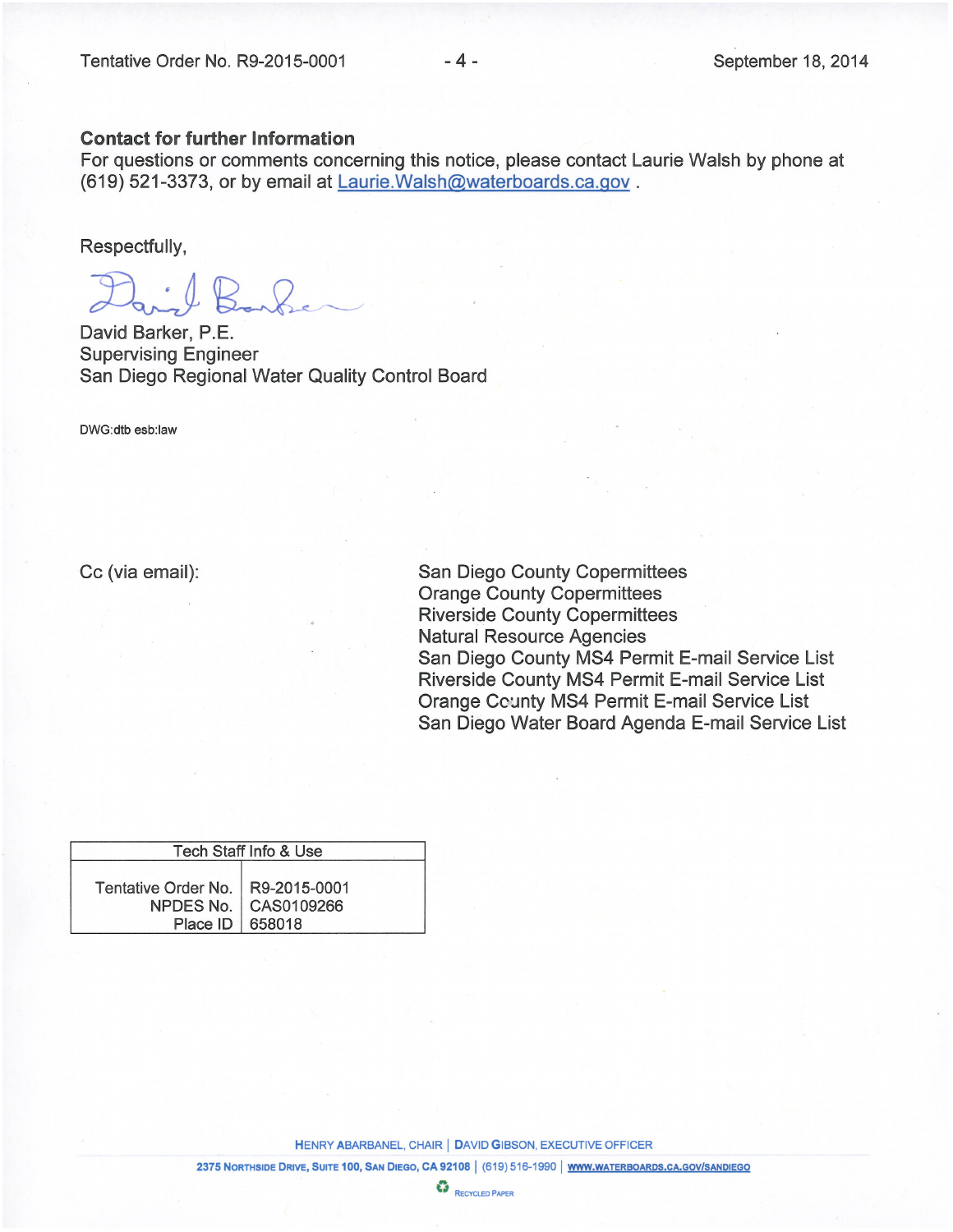### **Contact for further Information**

For questions or comments concerning this notice, please contact Laurie Walsh by phone at (619) 521-3373, or by email at Laurie. Walsh@waterboards.ca.gov.

Respectfully,

David Barker, P.E. **Supervising Engineer** San Diego Regional Water Quality Control Board

DWG:dtb esb:law

Cc (via email):

**San Diego County Copermittees Orange County Copermittees Riverside County Copermittees Natural Resource Agencies** San Diego County MS4 Permit E-mail Service List Riverside County MS4 Permit E-mail Service List **Orange County MS4 Permit E-mail Service List** San Diego Water Board Agenda E-mail Service List

| Tech Staff Info & Use                                 |                        |  |
|-------------------------------------------------------|------------------------|--|
| Tentative Order No.   R9-2015-0001<br>Place ID 658018 | NPDES No.   CAS0109266 |  |

**HENRY ABARBANEL, CHAIR | DAVID GIBSON, EXECUTIVE OFFICER** 

2375 NORTHSIDE DRIVE, SUITE 100, SAN DIEGO, CA 92108 | (619) 516-1990 | WWW.WATERBOARDS.CA.GOV/SANDIEGO

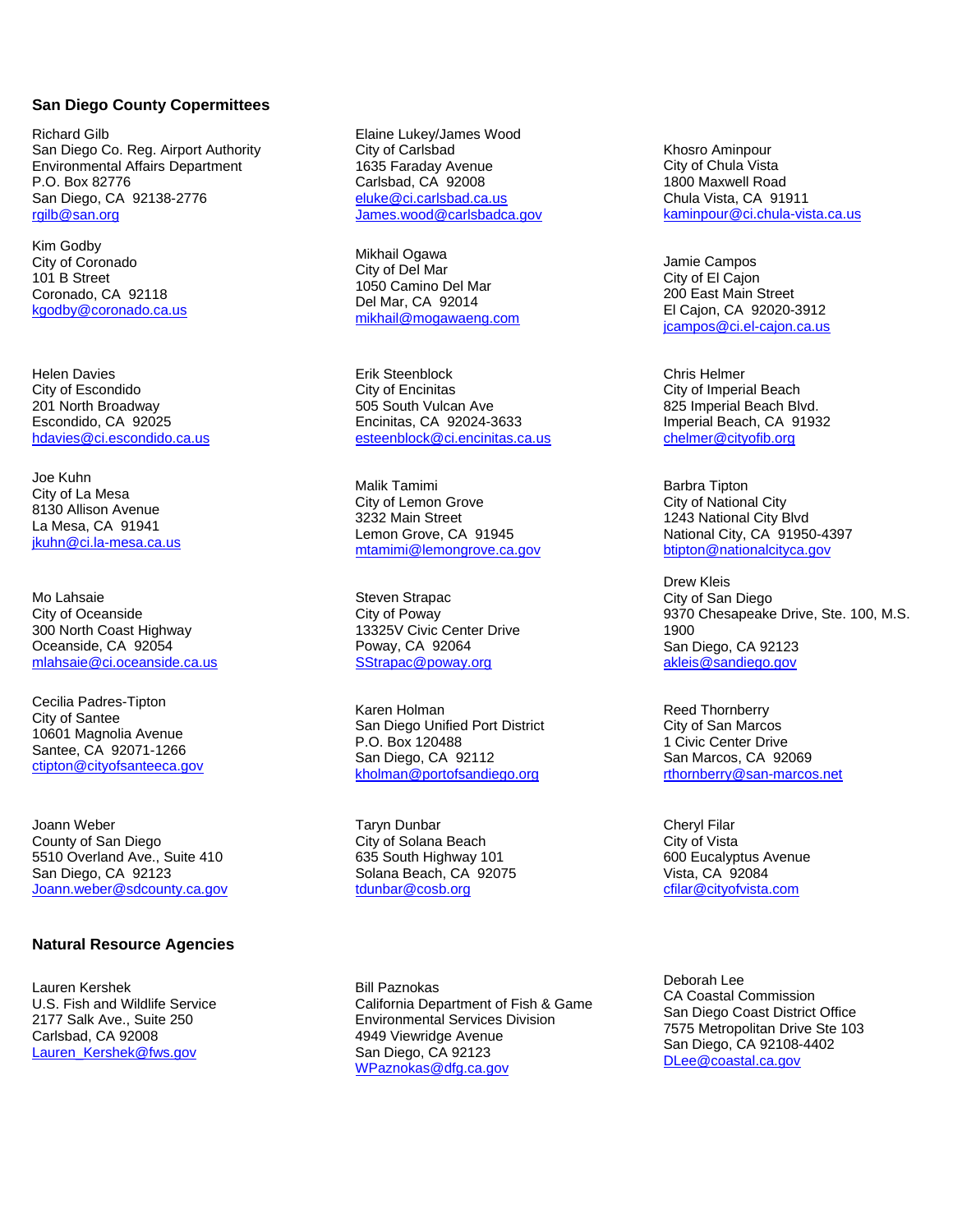#### **San Diego County Copermittees**

Richard Gilb San Diego Co. Reg. Airport Authority Environmental Affairs Department P.O. Box 82776 San Diego, CA 92138-2776 [rgilb@san.org](mailto:rgilb@san.org)

Kim Godby City of Coronado 101 B Street Coronado, CA 92118 [kgodby@coronado.ca.us](mailto:kgodby@coronado.ca.us)

Helen Davies City of Escondido 201 North Broadway Escondido, CA 92025 [hdavies@ci.escondido.ca.us](mailto:hdavies@ci.escondido.ca.us)

Joe Kuhn City of La Mesa 8130 Allison Avenue La Mesa, CA 91941 [jkuhn@ci.la-mesa.ca.us](mailto:jkuhn@ci.la-mesa.ca.us)

Mo Lahsaie City of Oceanside 300 North Coast Highway Oceanside, CA 92054 [mlahsaie@ci.oceanside.ca.us](mailto:mlahsaie@ci.oceanside.ca.us)

Cecilia Padres-Tipton City of Santee 10601 Magnolia Avenue Santee, CA 92071-1266 [ctipton@cityofsanteeca.gov](mailto:ctipton@cityofsanteeca.gov)

Joann Weber County of San Diego 5510 Overland Ave., Suite 410 San Diego, CA 92123 [Joann.weber@sdcounty.ca.gov](mailto:Joann.weber@sdcounty.ca.gov)

#### **Natural Resource Agencies**

Lauren Kershek U.S. Fish and Wildlife Service 2177 Salk Ave., Suite 250 Carlsbad, CA 92008 [Lauren\\_Kershek@fws.gov](mailto:Lauren_Kershek@fws.gov)

Elaine Lukey/James Wood City of Carlsbad 1635 Faraday Avenue Carlsbad, CA 92008 [eluke@ci.carlsbad.ca.us](mailto:eluke@ci.carlsbad.ca.us) [James.wood@carlsbadca.gov](mailto:James.wood@carlsbadca.gov)

Mikhail Ogawa City of Del Mar 1050 Camino Del Mar Del Mar, CA 92014 [mikhail@mogawaeng.com](mailto:mikhail@mogawaeng.com)

Erik Steenblock City of Encinitas 505 South Vulcan Ave Encinitas, CA 92024-3633 [esteenblock@ci.encinitas.ca.us](mailto:esteenblock@ci.encinitas.ca.us)

Malik Tamimi City of Lemon Grove 3232 Main Street Lemon Grove, CA 91945 [mtamimi@lemongrove.ca.gov](mailto:mtamimi@lemongrove.ca.gov)

Steven Strapac City of Poway 13325V Civic Center Drive Poway, CA 92064 [SStrapac@poway.org](mailto:SStrapac@poway.org)

Karen Holman San Diego Unified Port District P.O. Box 120488 San Diego, CA 92112 [kholman@portofsandiego.org](mailto:kholman@portofsandiego.org)

Taryn Dunbar City of Solana Beach 635 South Highway 101 Solana Beach, CA 92075 [tdunbar@cosb.org](mailto:tdunbar@cosb.org)

Bill Paznokas California Department of Fish & Game Environmental Services Division 4949 Viewridge Avenue San Diego, CA 92123 [WPaznokas@dfg.ca.gov](mailto:WPaznokas@dfg.ca.gov)

Khosro Aminpour City of Chula Vista 1800 Maxwell Road Chula Vista, CA 91911 [kaminpour@ci.chula-vista.ca.us](mailto:kaminpour@ci.chula-vista.ca.us)

Jamie Campos City of El Cajon 200 East Main Street El Cajon, CA 92020-3912 [jcampos@ci.el-cajon.ca.us](mailto:jcampos@ci.el-cajon.ca.us)

Chris Helmer City of Imperial Beach 825 Imperial Beach Blvd. Imperial Beach, CA 91932 [chelmer@cityofib.org](mailto:chelmer@cityofib.org)

Barbra Tipton City of National City 1243 National City Blvd National City, CA 91950-4397 [btipton@nationalcityca.gov](mailto:btipton@nationalcityca.gov)

Drew Kleis City of San Diego 9370 Chesapeake Drive, Ste. 100, M.S. 1900 San Diego, CA 92123 [akleis@sandiego.gov](mailto:akleis@sandiego.gov)

Reed Thornberry City of San Marcos 1 Civic Center Drive San Marcos, CA 92069 [rthornberry@san-marcos.net](mailto:rthornberry@san-marcos.net)

Cheryl Filar City of Vista 600 Eucalyptus Avenue Vista, CA 92084 [cfilar@cityofvista.com](mailto:cfilar@cityofvista.com)

Deborah Lee CA Coastal Commission San Diego Coast District Office 7575 Metropolitan Drive Ste 103 San Diego, CA 92108-4402 [DLee@coastal.ca.gov](mailto:DLee@coastal.ca.gov)